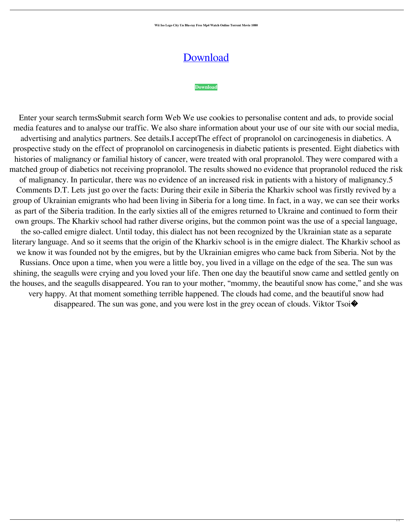**Wii Iso Lego City Un Blu-ray Free Mp4 Watch Online Torrent Movie 1080**

Enter your search termsSubmit search form Web We use cookies to personalise content and ads, to provide social media features and to analyse our traffic. We also share information about your use of our site with our social media, advertising and analytics partners. See details.I acceptThe effect of propranolol on carcinogenesis in diabetics. A prospective study on the effect of propranolol on carcinogenesis in diabetic patients is presented. Eight diabetics with histories of malignancy or familial history of cancer, were treated with oral propranolol. They were compared with a matched group of diabetics not receiving propranolol. The results showed no evidence that propranolol reduced the risk of malignancy. In particular, there was no evidence of an increased risk in patients with a history of malignancy.5 Comments D.T. Lets just go over the facts: During their exile in Siberia the Kharkiv school was firstly revived by a group of Ukrainian emigrants who had been living in Siberia for a long time. In fact, in a way, we can see their works as part of the Siberia tradition. In the early sixties all of the emigres returned to Ukraine and continued to form their own groups. The Kharkiv school had rather diverse origins, but the common point was the use of a special language, the so-called emigre dialect. Until today, this dialect has not been recognized by the Ukrainian state as a separate literary language. And so it seems that the origin of the Kharkiv school is in the emigre dialect. The Kharkiv school as we know it was founded not by the emigres, but by the Ukrainian emigres who came back from Siberia. Not by the Russians. Once upon a time, when you were a little boy, you lived in a village on the edge of the sea. The sun was shining, the seagulls were crying and you loved your life. Then one day the beautiful snow came and settled gently on the houses, and the seagulls disappeared. You ran to your mother, "mommy, the beautiful snow has come," and she was very happy. At that moment something terrible happened. The clouds had come, and the beautiful snow had disappeared. The sun was gone, and you were lost in the grey ocean of clouds. Viktor Tsoi<sup>•</sup>

## [Download](http://evacdir.com/tsbs/ZG93bmxvYWR8SHoxTW1VemEzeDhNVFkxTWpjME1EZzJObng4TWpVM05IeDhLRTBwSUhKbFlXUXRZbXh2WnlCYlJtRnpkQ0JIUlU1ZA.bothe=d2lpIGlzbyBsZWdvIGNpdHkgdW5kZXJjb3ZlciB0b3JyZW50d2l?coadministration=&decaffeinated=satinwood)

**[Download](http://evacdir.com/tsbs/ZG93bmxvYWR8SHoxTW1VemEzeDhNVFkxTWpjME1EZzJObng4TWpVM05IeDhLRTBwSUhKbFlXUXRZbXh2WnlCYlJtRnpkQ0JIUlU1ZA.bothe=d2lpIGlzbyBsZWdvIGNpdHkgdW5kZXJjb3ZlciB0b3JyZW50d2l?coadministration=&decaffeinated=satinwood)**